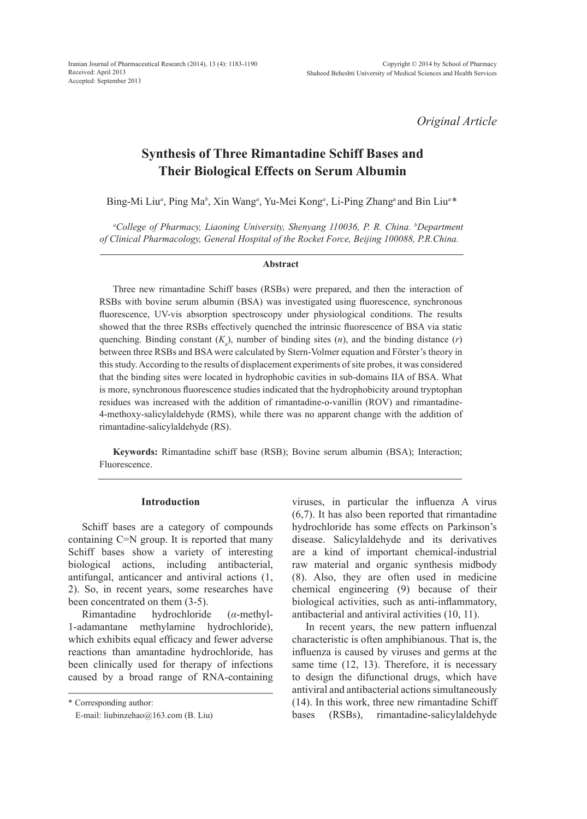*Original Article*

# **Synthesis of Three Rimantadine Schiff Bases and Their Biological Effects on Serum Albumin**

Bing-Mi Liu<sup>a</sup>, Ping Ma<sup>b</sup>, Xin Wang<sup>a</sup>, Yu-Mei Kong<sup>a</sup>, Li-Ping Zhang<sup>a</sup> and Bin Liu<sup>a</sup>\*

*a College of Pharmacy, Liaoning University, Shenyang 110036, P. R. China. b Department of Clinical Pharmacology, General Hospital of the Rocket Force, Beijing 100088, P.R.China.*

#### **Abstract**

Three new rimantadine Schiff bases (RSBs) were prepared, and then the interaction of RSBs with bovine serum albumin (BSA) was investigated using fluorescence, synchronous fluorescence, UV-vis absorption spectroscopy under physiological conditions. The results showed that the three RSBs effectively quenched the intrinsic fluorescence of BSA via static quenching. Binding constant  $(K_a)$ , number of binding sites  $(n)$ , and the binding distance  $(r)$ between three RSBs and BSA were calculated by Stern-Volmer equation and Förster's theory in this study. According to the results of displacement experiments of site probes, it was considered that the binding sites were located in hydrophobic cavities in sub-domains IIA of BSA. What is more, synchronous fluorescence studies indicated that the hydrophobicity around tryptophan residues was increased with the addition of rimantadine-o-vanillin (ROV) and rimantadine-4-methoxy-salicylaldehyde (RMS), while there was no apparent change with the addition of rimantadine-salicylaldehyde (RS).

**Keywords:** Rimantadine schiff base (RSB); Bovine serum albumin (BSA); Interaction; Fluorescence.

#### **Introduction**

Schiff bases are a category of compounds containing C=N group. It is reported that many Schiff bases show a variety of interesting biological actions, including antibacterial, antifungal, anticancer and antiviral actions (1, 2). So, in recent years, some researches have been concentrated on them (3-5).

Rimantadine hydrochloride (*α*-methyl-1-adamantane methylamine hydrochloride), which exhibits equal efficacy and fewer adverse reactions than amantadine hydrochloride, has been clinically used for therapy of infections caused by a broad range of RNA-containing viruses, in particular the influenza A virus (6,7). It has also been reported that rimantadine hydrochloride has some effects on Parkinson's disease. Salicylaldehyde and its derivatives are a kind of important chemical-industrial raw material and organic synthesis midbody (8). Also, they are often used in medicine chemical engineering (9) because of their biological activities, such as anti-inflammatory, antibacterial and antiviral activities (10, 11).

In recent years, the new pattern influenzal characteristic is often amphibianous. That is, the influenza is caused by viruses and germs at the same time (12, 13). Therefore, it is necessary to design the difunctional drugs, which have antiviral and antibacterial actions simultaneously (14). In this work, three new rimantadine Schiff bases (RSBs), rimantadine-salicylaldehyde

<sup>\*</sup> Corresponding author:

E-mail: liubinzehao@163.com (B. Liu)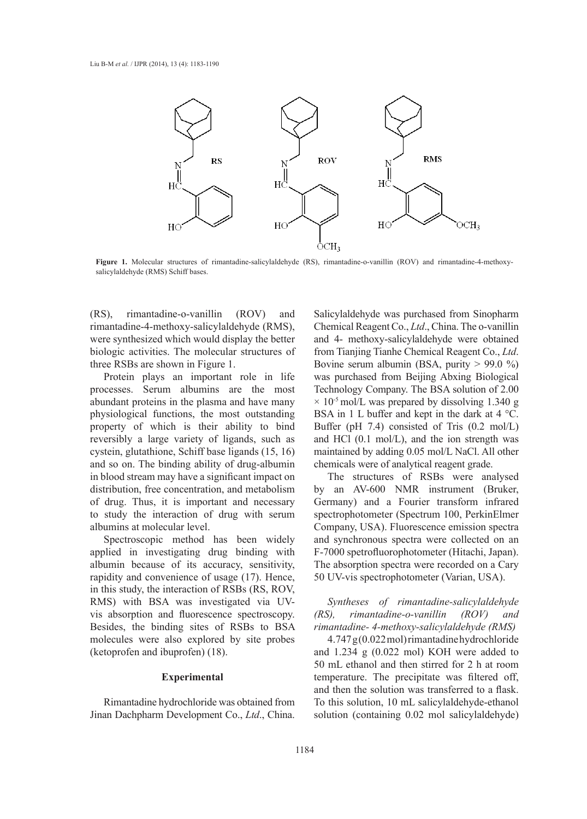

Figure 1. Molecular structures of rimantadine-salicylaldehyde (RS), rimantadine-o-vanillin (ROV) and rimantadine-4-methoxysalicylaldehyde (RMS) Schiff bases.

(RS), rimantadine-o-vanillin (ROV) and rimantadine-4-methoxy-salicylaldehyde (RMS), were synthesized which would display the better biologic activities. The molecular structures of three RSBs are shown in Figure 1.

Protein plays an important role in life processes. Serum albumins are the most abundant proteins in the plasma and have many physiological functions, the most outstanding property of which is their ability to bind reversibly a large variety of ligands, such as cystein, glutathione, Schiff base ligands (15, 16) and so on. The binding ability of drug-albumin in blood stream may have a significant impact on distribution, free concentration, and metabolism of drug. Thus, it is important and necessary to study the interaction of drug with serum albumins at molecular level.

Spectroscopic method has been widely applied in investigating drug binding with albumin because of its accuracy, sensitivity, rapidity and convenience of usage (17). Hence, in this study, the interaction of RSBs (RS, ROV, RMS) with BSA was investigated via UVvis absorption and fluorescence spectroscopy. Besides, the binding sites of RSBs to BSA molecules were also explored by site probes (ketoprofen and ibuprofen) (18).

#### **Experimental**

Rimantadine hydrochloride was obtained from Jinan Dachpharm Development Co., *Ltd*., China. Salicylaldehyde was purchased from Sinopharm Chemical Reagent Co., *Ltd*., China. The o-vanillin and 4- methoxy-salicylaldehyde were obtained from Tianjing Tianhe Chemical Reagent Co., *Ltd*. Bovine serum albumin (BSA, purity > 99.0 %) was purchased from Beijing Abxing Biological Technology Company. The BSA solution of 2.00  $\times$  10<sup>-5</sup> mol/L was prepared by dissolving 1.340 g BSA in 1 L buffer and kept in the dark at 4 °C. Buffer (pH 7.4) consisted of Tris (0.2 mol/L) and HCl (0.1 mol/L), and the ion strength was maintained by adding 0.05 mol/L NaCl. All other chemicals were of analytical reagent grade.

The structures of RSBs were analysed by an AV-600 NMR instrument (Bruker, Germany) and a Fourier transform infrared spectrophotometer (Spectrum 100, PerkinElmer Company, USA). Fluorescence emission spectra and synchronous spectra were collected on an F-7000 spetrofluorophotometer (Hitachi, Japan). The absorption spectra were recorded on a Cary 50 UV-vis spectrophotometer (Varian, USA).

*Syntheses of rimantadine-salicylaldehyde (RS), rimantadine-o-vanillin (ROV) and rimantadine- 4-methoxy-salicylaldehyde (RMS)*

4.747 g (0.022 mol) rimantadine hydrochloride and 1.234 g (0.022 mol) KOH were added to 50 mL ethanol and then stirred for 2 h at room temperature. The precipitate was filtered off, and then the solution was transferred to a flask. To this solution, 10 mL salicylaldehyde-ethanol solution (containing 0.02 mol salicylaldehyde)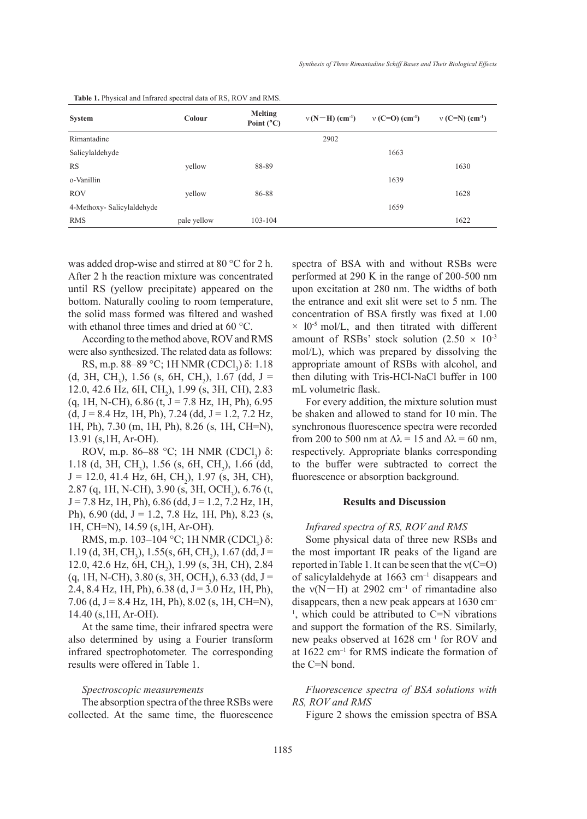| <b>System</b>             | Colour      | <b>Melting</b><br>Point $(^{\circ}C)$ | $v(N-H)$ (cm <sup>-1</sup> ) | $v(C=O)(cm^{-1})$ | $v(C=N)$ (cm <sup>-1</sup> ) |  |  |
|---------------------------|-------------|---------------------------------------|------------------------------|-------------------|------------------------------|--|--|
| Rimantadine               |             |                                       | 2902                         |                   |                              |  |  |
| Salicylaldehyde           |             |                                       |                              | 1663              |                              |  |  |
| <b>RS</b>                 | yellow      | 88-89                                 |                              |                   | 1630                         |  |  |
| o-Vanillin                |             |                                       |                              | 1639              |                              |  |  |
| <b>ROV</b>                | yellow      | 86-88                                 |                              |                   | 1628                         |  |  |
| 4-Methoxy-Salicylaldehyde |             |                                       |                              | 1659              |                              |  |  |
| <b>RMS</b>                | pale yellow | 103-104                               |                              |                   | 1622                         |  |  |

**Table 1.** Physical and Infrared spectral data of RS, ROV and RMS.

was added drop-wise and stirred at 80 °C for 2 h. After 2 h the reaction mixture was concentrated until RS (yellow precipitate) appeared on the bottom. Naturally cooling to room temperature, the solid mass formed was filtered and washed with ethanol three times and dried at 60 °C.

According to the method above, ROV and RMS were also synthesized. The related data as follows:

RS, m.p. 88–89 °C; 1H NMR (CDCl<sub>3</sub>) δ: 1.18  $(d, 3H, CH<sub>3</sub>), 1.56$  (s, 6H, CH<sub>2</sub>), 1.67 (dd, J = 12.0, 42.6 Hz, 6H, CH<sub>2</sub>), 1.99 (s, 3H, CH), 2.83  $(q, 1H, N-CH), 6.86$   $(t, J = 7.8$  Hz,  $1H, Ph), 6.95$  $(d, J = 8.4 \text{ Hz}, 1H, Ph), 7.24 (dd, J = 1.2, 7.2 \text{ Hz},$ 1H, Ph), 7.30 (m, 1H, Ph), 8.26 (s, 1H, CH=N), 13.91 (s,1H, Ar-OH).

ROV, m.p. 86–88 °C; 1H NMR (CDCl<sub>3</sub>) δ: 1.18 (d, 3H, CH<sub>3</sub>), 1.56 (s, 6H, CH<sub>2</sub>), 1.66 (dd,  $J = 12.0, 41.4$  Hz, 6H, CH<sub>2</sub>), 1.97 (s, 3H, CH), 2.87 (q, 1H, N-CH), 3.90 (s, 3H, OCH<sub>3</sub>), 6.76 (t,  $J = 7.8$  Hz, 1H, Ph), 6.86 (dd,  $J = 1.2, 7.2$  Hz, 1H, Ph), 6.90 (dd, J = 1.2, 7.8 Hz, 1H, Ph), 8.23 (s, 1H, CH=N), 14.59 (s,1H, Ar-OH).

RMS, m.p. 103–104 °C; 1H NMR (CDCl<sub>3</sub>) δ:  $1.19$  (d, 3H, CH<sub>3</sub>),  $1.55$ (s, 6H, CH<sub>2</sub>),  $1.67$  (dd, J = 12.0, 42.6 Hz, 6H, CH<sub>2</sub>), 1.99 (s, 3H, CH), 2.84  $(q, 1H, N\text{-CH}), 3.80$  (s, 3H, OCH<sub>3</sub>), 6.33 (dd, J = 2.4, 8.4 Hz, 1H, Ph),  $6.38$  (d,  $J = 3.0$  Hz, 1H, Ph), 7.06 (d,  $J = 8.4$  Hz, 1H, Ph), 8.02 (s, 1H, CH=N), 14.40 (s,1H, Ar-OH).

At the same time, their infrared spectra were also determined by using a Fourier transform infrared spectrophotometer. The corresponding results were offered in Table 1.

#### *Spectroscopic measurements*

The absorption spectra of the three RSBs were collected. At the same time, the fluorescence spectra of BSA with and without RSBs were performed at 290 K in the range of 200-500 nm upon excitation at 280 nm. The widths of both the entrance and exit slit were set to 5 nm. The concentration of BSA firstly was fixed at 1.00  $\times$  10<sup>-5</sup> mol/L, and then titrated with different amount of RSBs' stock solution  $(2.50 \times 10^{-3}$ mol/L), which was prepared by dissolving the appropriate amount of RSBs with alcohol, and then diluting with Tris-HCl-NaCl buffer in 100 mL volumetric flask.

For every addition, the mixture solution must be shaken and allowed to stand for 10 min. The synchronous fluorescence spectra were recorded from 200 to 500 nm at  $\Delta \lambda = 15$  and  $\Delta \lambda = 60$  nm, respectively. Appropriate blanks corresponding to the buffer were subtracted to correct the fluorescence or absorption background.

#### **Results and Discussion**

# *Infrared spectra of RS, ROV and RMS*

Some physical data of three new RSBs and the most important IR peaks of the ligand are reported in Table 1. It can be seen that the  $v(C=O)$ of salicylaldehyde at 1663 cm–1 disappears and the  $v(N-H)$  at 2902 cm<sup>-1</sup> of rimantadine also disappears, then a new peak appears at 1630 cm–  $<sup>1</sup>$ , which could be attributed to C=N vibrations</sup> and support the formation of the RS. Similarly, new peaks observed at 1628 cm–1 for ROV and at 1622 cm–1 for RMS indicate the formation of the C=N bond.

*Fluorescence spectra of BSA solutions with RS, ROV and RMS*

Figure 2 shows the emission spectra of BSA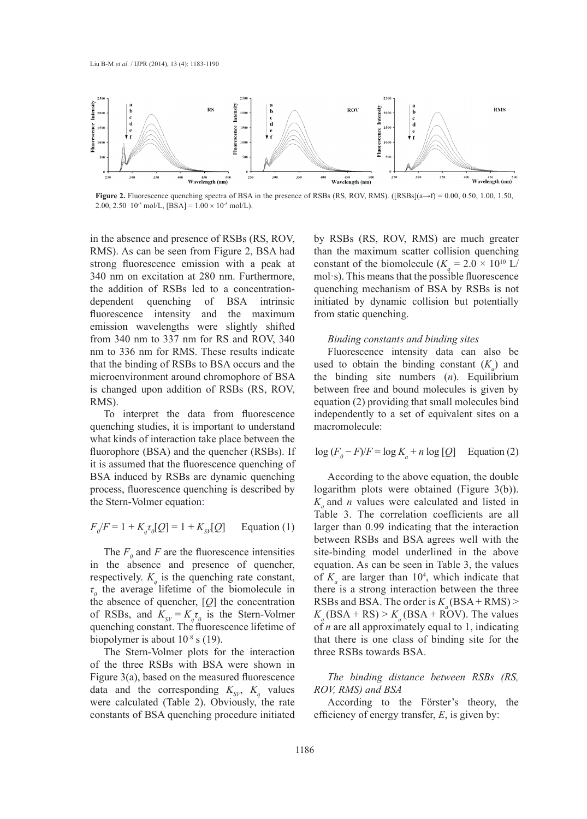

**Figure 2.** Fluorescence quenching spectra of BSA in the presence of RSBs (RS, ROV, RMS). ([RSBs](a→f) = 0.00, 0.50, 1.00, 1.50, 2.00, 2.50 10<sup>-5</sup> mol/L, [BSA] =  $1.00 \times 10^{-5}$  mol/L).

in the absence and presence of RSBs (RS, ROV, RMS). As can be seen from Figure 2, BSA had strong fluorescence emission with a peak at 340 nm on excitation at 280 nm. Furthermore, the addition of RSBs led to a concentrationdependent quenching of BSA intrinsic fluorescence intensity and the maximum emission wavelengths were slightly shifted from 340 nm to 337 nm for RS and ROV, 340 nm to 336 nm for RMS. These results indicate that the binding of RSBs to BSA occurs and the microenvironment around chromophore of BSA is changed upon addition of RSBs (RS, ROV, RMS).

To interpret the data from fluorescence quenching studies, it is important to understand what kinds of interaction take place between the fluorophore (BSA) and the quencher (RSBs). If it is assumed that the fluorescence quenching of BSA induced by RSBs are dynamic quenching process, fluorescence quenching is described by the Stern-Volmer equation:

$$
F_{\rho}/F = 1 + K_{q} \tau_{\rho} [Q] = 1 + K_{\text{SV}}[Q] \qquad \text{Equation (1)}
$$

The  $F_0$  and  $F$  are the fluorescence intensities in the absence and presence of quencher, respectively.  $K_q$  is the quenching rate constant, *τ0* the average lifetime of the biomolecule in the absence of quencher, [*Q*] the concentration of RSBs, and  $K_{SV} = K_q \tau_o$  is the Stern-Volmer quenching constant. The fluorescence lifetime of biopolymer is about  $10^{-8}$  s (19).

The Stern-Volmer plots for the interaction of the three RSBs with BSA were shown in Figure 3(a), based on the measured fluorescence data and the corresponding  $K_{\rm SVP}$ ,  $K_q$  values were calculated (Table 2). Obviously, the rate constants of BSA quenching procedure initiated

by RSBs (RS, ROV, RMS) are much greater than the maximum scatter collision quenching constant of the biomolecule  $(K_q = 2.0 \times 10^{10} \text{ L/m})$ mol·s). This means that the possible fluorescence quenching mechanism of BSA by RSBs is not initiated by dynamic collision but potentially from static quenching.

#### *Binding constants and binding sites*

Fluorescence intensity data can also be used to obtain the binding constant  $(K_a)$  and the binding site numbers (*n*). Equilibrium between free and bound molecules is given by equation (2) providing that small molecules bind independently to a set of equivalent sites on a macromolecule:

# $\log (F_o - F)/F = \log K_a + n \log [Q]$  Equation (2)

According to the above equation, the double logarithm plots were obtained (Figure 3(b)).  $K_a$  and *n* values were calculated and listed in Table 3. The correlation coefficients are all larger than 0.99 indicating that the interaction between RSBs and BSA agrees well with the site-binding model underlined in the above equation. As can be seen in Table 3, the values of  $K_a$  are larger than  $10^4$ , which indicate that there is a strong interaction between the three RSBs and BSA. The order is  $K_a(BSA + RMS)$  $K_a$ (BSA + RS) >  $K_a$ (BSA + ROV). The values of *n* are all approximately equal to 1, indicating that there is one class of binding site for the three RSBs towards BSA.

*The binding distance between RSBs (RS, ROV, RMS) and BSA*

According to the Förster's theory, the efficiency of energy transfer, *E*, is given by: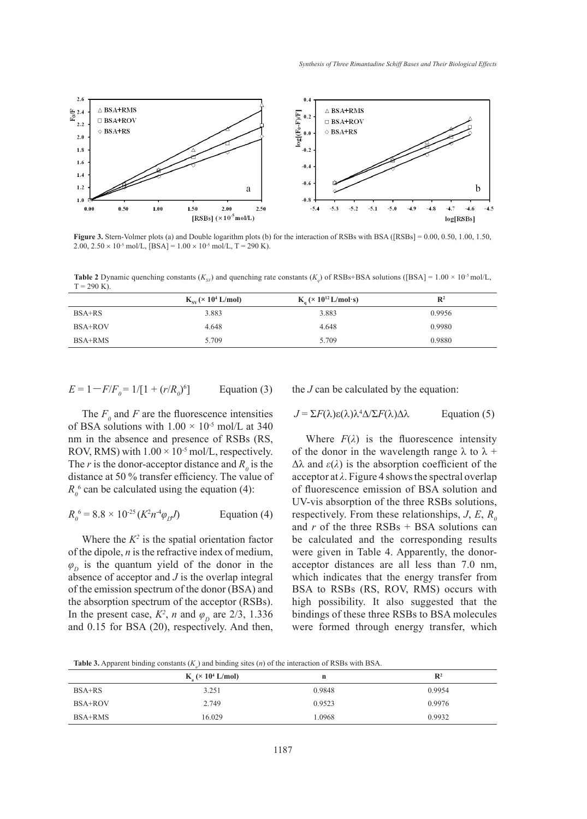

**Figure 3.** Stern-Volmer plots (a) and Double logarithm plots (b) for the interaction of RSBs with BSA ([RSBs] = 0.00, 0.50, 1.00, 1.50, 2.00,  $2.50 \times 10^{-5}$  mol/L,  $[BSA] = 1.00 \times 10^{-5}$  mol/L,  $T = 290$  K).

**Table 2** Dynamic quenching constants  $(K_{\rm sy})$  and quenching rate constants  $(K_{\rm y})$  of RSBs+BSA solutions ([BSA] =  $1.00 \times 10^5$  mol/L,  $T = 290 K$ ).

|          | $K_{\rm cv}$ (× 10 <sup>4</sup> L/mol) | $K_a$ (× 10 <sup>12</sup> L/mol·s) | $\mathbf{R}^2$ |
|----------|----------------------------------------|------------------------------------|----------------|
| $BSA+RS$ | 3.883                                  | 3.883                              | 0.9956         |
| BSA+ROV  | 4.648                                  | 4.648                              | 0.9980         |
| BSA+RMS  | 5.709                                  | 5.709                              | 0.9880         |

 $E = 1 - F/F_0 = 1/[1 + (r/R_0)^6]$ Equation  $(3)$ 

The  $F_0$  and  $F$  are the fluorescence intensities of BSA solutions with  $1.00 \times 10^{-5}$  mol/L at 340 nm in the absence and presence of RSBs (RS, ROV, RMS) with  $1.00 \times 10^{-5}$  mol/L, respectively. The *r* is the donor-acceptor distance and  $R_0$  is the distance at 50 % transfer efficiency. The value of  $R_0^6$  can be calculated using the equation (4):

$$
R_0^6 = 8.8 \times 10^{-25} (K^2 n^{-4} \varphi_D J)
$$
 Equation (4)

Where the  $K^2$  is the spatial orientation factor of the dipole, *n* is the refractive index of medium,  $\varphi$ <sup>*D*</sup> is the quantum yield of the donor in the absence of acceptor and *J* is the overlap integral of the emission spectrum of the donor (BSA) and the absorption spectrum of the acceptor (RSBs). In the present case,  $K^2$ , *n* and  $\varphi_D$  are 2/3, 1.336 and 0.15 for BSA (20), respectively. And then,

the *J* can be calculated by the equation:

$$
J = \Sigma F(\lambda) \varepsilon(\lambda) \lambda^4 \Delta / \Sigma F(\lambda) \Delta \lambda
$$
 Equation (5)

Where  $F(\lambda)$  is the fluorescence intensity of the donor in the wavelength range  $\lambda$  to  $\lambda$  +  $\Delta\lambda$  and  $\varepsilon(\lambda)$  is the absorption coefficient of the acceptor at *λ*. Figure 4 shows the spectral overlap of fluorescence emission of BSA solution and UV-vis absorption of the three RSBs solutions, respectively. From these relationships,  $J, E, R_0$ and *r* of the three RSBs + BSA solutions can be calculated and the corresponding results were given in Table 4. Apparently, the donoracceptor distances are all less than 7.0 nm, which indicates that the energy transfer from BSA to RSBs (RS, ROV, RMS) occurs with high possibility. It also suggested that the bindings of these three RSBs to BSA molecules were formed through energy transfer, which

**Table 3.** Apparent binding constants  $(K_a)$  and binding sites  $(n)$  of the interaction of RSBs with BSA.

|         | $\sim$ $\mu$<br>$K_a$ ( $\times$ 10 <sup>4</sup> L/mol) | n      | $\mathbb{R}^2$ |
|---------|---------------------------------------------------------|--------|----------------|
| BSA+RS  | 3.251                                                   | 0.9848 | 0.9954         |
| BSA+ROV | 2.749                                                   | 0.9523 | 0.9976         |
| BSA+RMS | 16.029                                                  | 1.0968 | 0.9932         |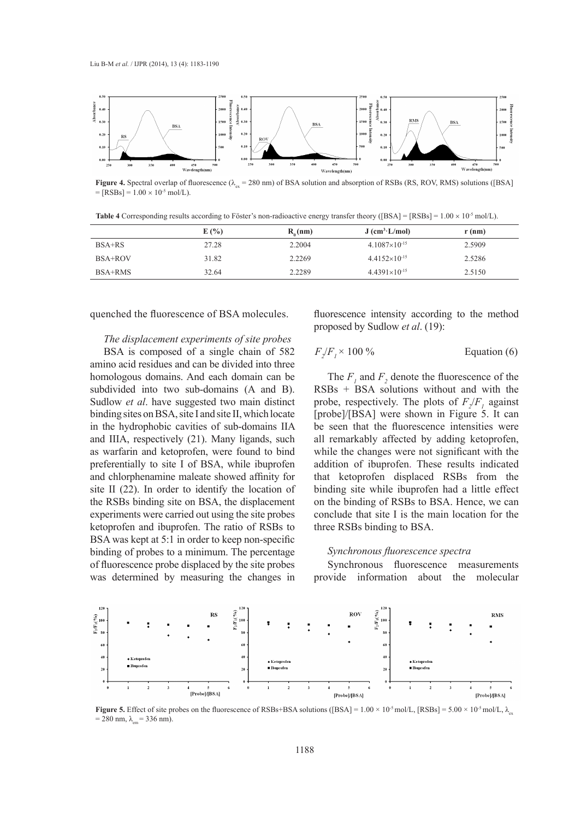

**Figure 4.** Spectral overlap of fluorescence ( $\lambda_{\infty}$  = 280 nm) of BSA solution and absorption of RSBs (RS, ROV, RMS) solutions ([BSA]  $=[RSBs] = 1.00 \times 10^{-5}$  mol/L).

**Table 4** Corresponding results according to Föster's non-radioactive energy transfer theory ([BSA] = [RSBs] = 1.00 × 10-5 mol/L).

|          | E(%)  | $R_0(nm)$ | $J$ (cm <sup>3</sup> ·L/mol) | $r$ (nm) |
|----------|-------|-----------|------------------------------|----------|
| $BSA+RS$ | 27.28 | 2.2004    | $4.1087\times10^{-15}$       | 2.5909   |
| BSA+ROV  | 31.82 | 2.2269    | $4.4152\times10^{-15}$       | 2.5286   |
| BSA+RMS  | 32.64 | 2.2289    | $4.4391\times10^{-15}$       | 2.5150   |

quenched the fluorescence of BSA molecules.

*The displacement experiments of site probes*

BSA is composed of a single chain of 582 amino acid residues and can be divided into three homologous domains. And each domain can be subdivided into two sub-domains (A and B). Sudlow *et al*. have suggested two main distinct binding sites on BSA, site I and site II, which locate in the hydrophobic cavities of sub-domains IIA and IIIA, respectively (21). Many ligands, such as warfarin and ketoprofen, were found to bind preferentially to site I of BSA, while ibuprofen and chlorphenamine maleate showed affinity for site II (22). In order to identify the location of the RSBs binding site on BSA, the displacement experiments were carried out using the site probes ketoprofen and ibuprofen. The ratio of RSBs to BSA was kept at 5:1 in order to keep non-specific binding of probes to a minimum. The percentage of fluorescence probe displaced by the site probes was determined by measuring the changes in

fluorescence intensity according to the method proposed by Sudlow *et al*. (19):

$$
F_2/F_1 \times 100\% \qquad \qquad \text{Equation (6)}
$$

The  $F_1$  and  $F_2$  denote the fluorescence of the RSBs + BSA solutions without and with the probe, respectively. The plots of  $F_2/F_1$  against [probe]/[BSA] were shown in Figure 5. It can be seen that the fluorescence intensities were all remarkably affected by adding ketoprofen, while the changes were not significant with the addition of ibuprofen. These results indicated that ketoprofen displaced RSBs from the binding site while ibuprofen had a little effect on the binding of RSBs to BSA. Hence, we can conclude that site I is the main location for the three RSBs binding to BSA.

# *Synchronous fluorescence spectra*

Synchronous fluorescence measurements provide information about the molecular



**Figure 5.** Effect of site probes on the fluorescence of RSBs+BSA solutions ([BSA] =  $1.00 \times 10^{-5}$  mol/L, [RSBs] =  $5.00 \times 10^{-5}$  mol/L,  $\lambda_{\infty}$  $= 280$  nm,  $\lambda_{em} = 336$  nm).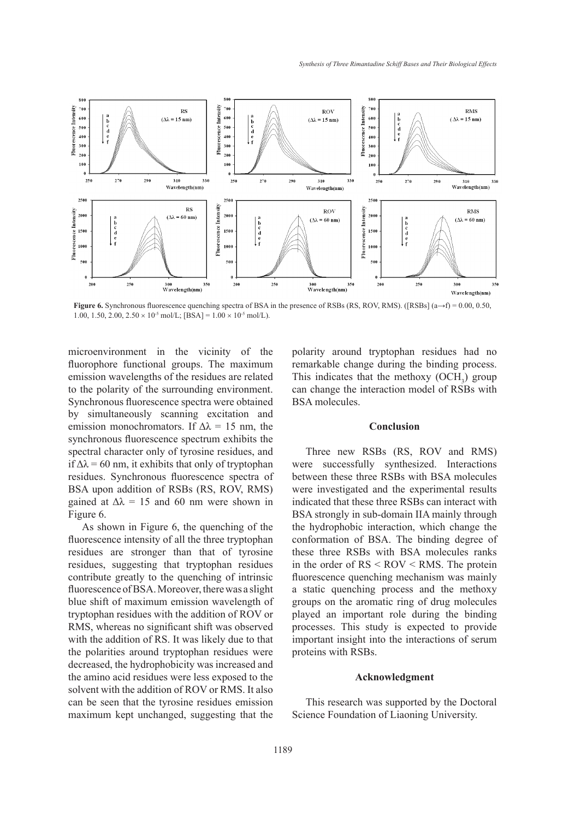

**Figure 6.** Synchronous fluorescence quenching spectra of BSA in the presence of RSBs (RS, ROV, RMS). ([RSBs] (a→f) = 0.00, 0.50, 1.00, 1.50, 2.00,  $2.50 \times 10^{-5}$  mol/L; [BSA] =  $1.00 \times 10^{-5}$  mol/L).

microenvironment in the vicinity of the fluorophore functional groups. The maximum emission wavelengths of the residues are related to the polarity of the surrounding environment. Synchronous fluorescence spectra were obtained by simultaneously scanning excitation and emission monochromators. If  $\Delta\lambda = 15$  nm, the synchronous fluorescence spectrum exhibits the spectral character only of tyrosine residues, and if  $\Delta\lambda$  = 60 nm, it exhibits that only of tryptophan residues. Synchronous fluorescence spectra of BSA upon addition of RSBs (RS, ROV, RMS) gained at  $\Delta \lambda = 15$  and 60 nm were shown in Figure 6.

As shown in Figure 6, the quenching of the fluorescence intensity of all the three tryptophan residues are stronger than that of tyrosine residues, suggesting that tryptophan residues contribute greatly to the quenching of intrinsic fluorescence of BSA. Moreover, there was a slight blue shift of maximum emission wavelength of tryptophan residues with the addition of ROV or RMS, whereas no significant shift was observed with the addition of RS. It was likely due to that the polarities around tryptophan residues were decreased, the hydrophobicity was increased and the amino acid residues were less exposed to the solvent with the addition of ROV or RMS. It also can be seen that the tyrosine residues emission maximum kept unchanged, suggesting that the polarity around tryptophan residues had no remarkable change during the binding process. This indicates that the methoxy  $(OCH<sub>3</sub>)$  group can change the interaction model of RSBs with BSA molecules.

# **Conclusion**

Three new RSBs (RS, ROV and RMS) were successfully synthesized. Interactions between these three RSBs with BSA molecules were investigated and the experimental results indicated that these three RSBs can interact with BSA strongly in sub-domain IIA mainly through the hydrophobic interaction, which change the conformation of BSA. The binding degree of these three RSBs with BSA molecules ranks in the order of RS < ROV < RMS. The protein fluorescence quenching mechanism was mainly a static quenching process and the methoxy groups on the aromatic ring of drug molecules played an important role during the binding processes. This study is expected to provide important insight into the interactions of serum proteins with RSBs.

# **Acknowledgment**

This research was supported by the Doctoral Science Foundation of Liaoning University.